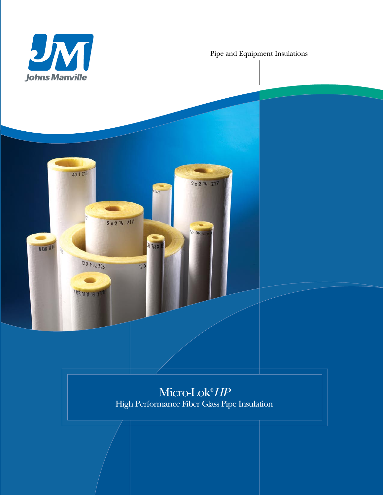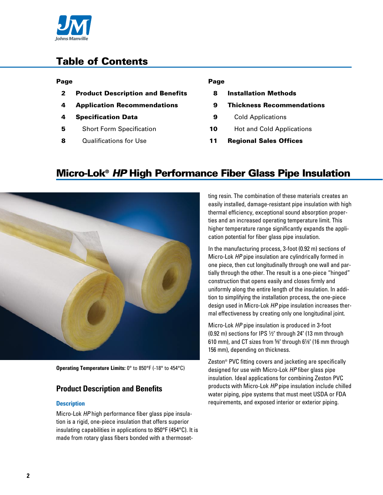

# Table of Contents

### Page

- 2 Product Description and Benefits
- 4 Application Recommendations
- 4 Specification Data
- **5** Short Form Specification
- 8 Qualifications for Use

## Page

- 8 Installation Methods
- 9 Thickness Recommendations
- **9** Cold Applications
- 10 Hot and Cold Applications
- 11 Regional Sales Offices

# Micro-Lok® *HP* High Performance Fiber Glass Pipe Insulation



**Operating Temperature Limits:** 0° to 850°F (-18° to 454°C)

# **Product Description and Benefits**

#### **Description**

Micro-Lok *HP* high performance fiber glass pipe insulation is a rigid, one-piece insulation that offers superior insulating capabilities in applications to 850°F (454°C). It is made from rotary glass fibers bonded with a thermosetting resin. The combination of these materials creates an easily installed, damage-resistant pipe insulation with high thermal efficiency, exceptional sound absorption properties and an increased operating temperature limit. This higher temperature range significantly expands the application potential for fiber glass pipe insulation.

In the manufacturing process, 3-foot (0.92 m) sections of Micro-Lok *HP* pipe insulation are cylindrically formed in one piece, then cut longitudinally through one wall and partially through the other. The result is a one-piece "hinged" construction that opens easily and closes firmly and uniformly along the entire length of the insulation. In addition to simplifying the installation process, the one-piece design used in Micro-Lok *HP* pipe insulation increases thermal effectiveness by creating only one longitudinal joint.

Micro-Lok *HP* pipe insulation is produced in 3-foot (0.92 m) sections for IPS 1⁄2" through 24" (13 mm through 610 mm), and CT sizes from 5⁄8" through 61⁄8" (16 mm through 156 mm), depending on thickness.

Zeston® PVC fitting covers and jacketing are specifically designed for use with Micro-Lok *HP* fiber glass pipe insulation. Ideal applications for combining Zeston PVC products with Micro-Lok *HP* pipe insulation include chilled water piping, pipe systems that must meet USDA or FDA requirements, and exposed interior or exterior piping.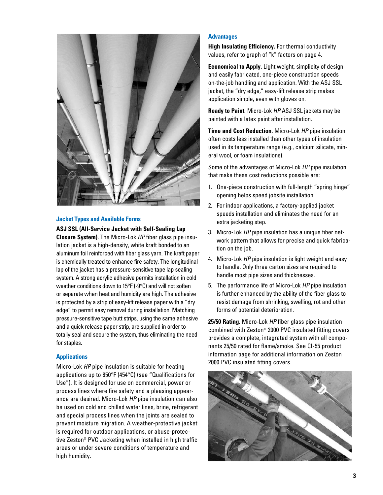

#### **Jacket Types and Available Forms**

#### **ASJ SSL (All-Service Jacket with Self-Sealing Lap**

**Closure System).** The Micro-Lok *HP* fiber glass pipe insulation jacket is a high-density, white kraft bonded to an aluminum foil reinforced with fiber glass yarn. The kraft paper is chemically treated to enhance fire safety. The longitudinal lap of the jacket has a pressure-sensitive tape lap sealing system. A strong acrylic adhesive permits installation in cold weather conditions down to 15°F (-9°C) and will not soften or separate when heat and humidity are high. The adhesive is protected by a strip of easy-lift release paper with a "dry edge" to permit easy removal during installation. Matching pressure-sensitive tape butt strips, using the same adhesive and a quick release paper strip, are supplied in order to totally seal and secure the system, thus eliminating the need for staples.

#### **Applications**

Micro-Lok *HP* pipe insulation is suitable for heating applications up to 850°F (454°C) (see "Qualifications for Use"). It is designed for use on commercial, power or process lines where fire safety and a pleasing appearance are desired. Micro-Lok *HP* pipe insulation can also be used on cold and chilled water lines, brine, refrigerant and special process lines when the joints are sealed to prevent moisture migration. A weather-protective jacket is required for outdoor applications, or abuse-protective Zeston® PVC Jacketing when installed in high traffic areas or under severe conditions of temperature and high humidity.

#### **Advantages**

**High Insulating Efficiency.** For thermal conductivity values, refer to graph of "k" factors on page 4.

**Economical to Apply.** Light weight, simplicity of design and easily fabricated, one-piece construction speeds on-the-job handling and application. With the ASJ SSL jacket, the "dry edge," easy-lift release strip makes application simple, even with gloves on.

**Ready to Paint.** Micro-Lok *HP* ASJ SSL jackets may be painted with a latex paint after installation.

**Time and Cost Reduction.** Micro-Lok *HP* pipe insulation often costs less installed than other types of insulation used in its temperature range (e.g., calcium silicate, mineral wool, or foam insulations).

Some of the advantages of Micro-Lok *HP* pipe insulation that make these cost reductions possible are:

- 1. One-piece construction with full-length "spring hinge" opening helps speed jobsite installation.
- 2. For indoor applications, a factory-applied jacket speeds installation and eliminates the need for an extra jacketing step.
- 3. Micro-Lok *HP* pipe insulation has a unique fiber network pattern that allows for precise and quick fabrication on the job.
- 4. Micro-Lok *HP* pipe insulation is light weight and easy to handle. Only three carton sizes are required to handle most pipe sizes and thicknesses.
- 5. The performance life of Micro-Lok *HP* pipe insulation is further enhanced by the ability of the fiber glass to resist damage from shrinking, swelling, rot and other forms of potential deterioration.

**25/50 Rating.** Micro-Lok *HP* fiber glass pipe insulation combined with Zeston® 2000 PVC insulated fitting covers provides a complete, integrated system with all components 25/50 rated for flame/smoke. See CI-55 product information page for additional information on Zeston 2000 PVC insulated fitting covers.

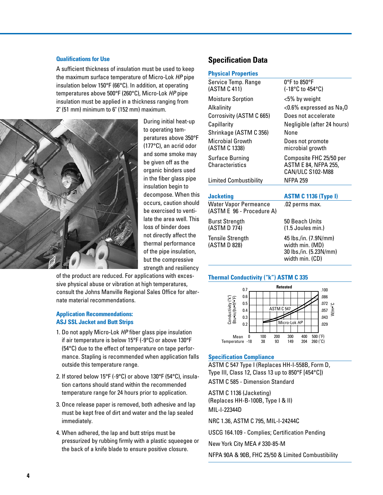# **Qualifications for Use**

A sufficient thickness of insulation must be used to keep the maximum surface temperature of Micro-Lok *HP* pipe insulation below 150°F (66°C). In addition, at operating temperatures above 500°F (260°C), Micro-Lok *HP* pipe insulation must be applied in a thickness ranging from 2" (51 mm) minimum to 6" (152 mm) maximum.



During initial heat-up to operating temperatures above 350°F (177°C), an acrid odor and some smoke may be given off as the organic binders used in the fiber glass pipe insulation begin to decompose. When this occurs, caution should be exercised to ventilate the area well. This loss of binder does not directly affect the thermal performance of the pipe insulation, but the compressive strength and resiliency

of the product are reduced. For applications with excessive physical abuse or vibration at high temperatures, consult the Johns Manville Regional Sales Office for alternate material recommendations.

### **Application Recommendations: ASJ SSL Jacket and Butt Strips**

- 1. Do not apply Micro-Lok *HP* fiber glass pipe insulation if air temperature is below 15°F (-9°C) or above 130°F (54°C) due to the effect of temperature on tape performance. Stapling is recommended when application falls outside this temperature range.
- 2. If stored below 15°F (-9°C) or above 130°F (54°C), insulation cartons should stand within the recommended temperature range for 24 hours prior to application.
- 3. Once release paper is removed, both adhesive and lap must be kept free of dirt and water and the lap sealed immediately.
- 4. When adhered, the lap and butt strips must be pressurized by rubbing firmly with a plastic squeegee or the back of a knife blade to ensure positive closure.

# **Specification Data**

#### **Physical Properties**

| Service Temp. Range<br>(ASTM C 411)                       | $0^{\circ}$ F to 850°F<br>(-18°C to 454°C)                                            |
|-----------------------------------------------------------|---------------------------------------------------------------------------------------|
| <b>Moisture Sorption</b>                                  | <5% by weight                                                                         |
| Alkalinity                                                | $<$ 0.6% expressed as Na <sub>2</sub> O                                               |
| Corrosivity (ASTM C 665)                                  | Does not accelerate                                                                   |
| Capillarity                                               | Negligible (after 24 hours)                                                           |
| Shrinkage (ASTM C 356)                                    | None                                                                                  |
| Microbial Growth<br>(ASTM C 1338)                         | Does not promote<br>microbial growth                                                  |
| <b>Surface Burning</b><br><b>Characteristics</b>          | Composite FHC 25/50 per<br><b>ASTM E 84, NFPA 255,</b><br><b>CAN/ULC S102-M88</b>     |
| <b>Limited Combustibility</b>                             | <b>NFPA 259</b>                                                                       |
|                                                           |                                                                                       |
| <b>Jacketing</b>                                          | <b>ASTM C 1136 (Type I)</b>                                                           |
| <b>Water Vapor Permeance</b><br>(ASTM E 96 - Procedure A) | .02 perms max.                                                                        |
| <b>Burst Strength</b>                                     | 50 Beach Units                                                                        |
| (ASTM D 774)                                              | (1.5 Joules min.)                                                                     |
| <b>Tensile Strength</b><br>(ASTM D 828)                   | 45 lbs./in. (7.9N/mm)<br>width min. (MD)<br>30 lbs./in. (5.23N/mm)<br>width min. (CD) |

### **Thermal Conductivity ("k") ASTM C 335**



#### **Specification Compliance**

ASTM C 547 Type I (Replaces HH-I-558B, Form D, Type III, Class 12, Class 13 up to 850°F [454°C]) ASTM C 585 - Dimension Standard

ASTM C 1136 (Jacketing)

(Replaces HH-B-100B, Type I & II) MIL-I-22344D

NRC 1.36, ASTM C 795, MIL-I-24244C

USCG 164.109 - Complies; Certification Pending

New York City MEA # 330-85-M

NFPA 90A & 90B, FHC 25/50 & Limited Combustibility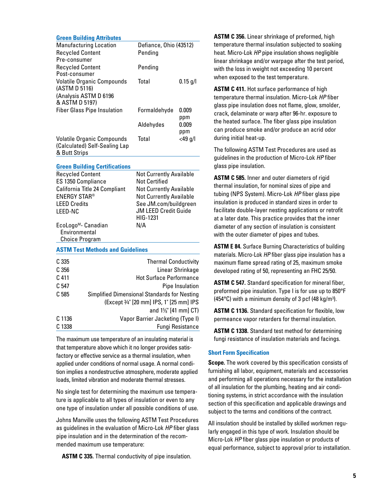| <b>Green Building Attributes</b>                                                    |                                |                  |
|-------------------------------------------------------------------------------------|--------------------------------|------------------|
| <b>Manufacturing Location</b>                                                       | Defiance, Ohio (43512)         |                  |
| <b>Recycled Content</b>                                                             | Pending                        |                  |
| Pre-consumer                                                                        |                                |                  |
| <b>Recycled Content</b>                                                             | Pending                        |                  |
| Post-consumer                                                                       |                                |                  |
| <b>Volatile Organic Compounds</b><br>(ASTM D 5116)                                  | Total                          | $0.15$ g/l       |
| (Analysis ASTM D 6196<br>& ASTM D 5197)                                             |                                |                  |
| <b>Fiber Glass Pipe Insulation</b>                                                  | Formaldehyde                   | 0.009<br>ppm     |
|                                                                                     | Aldehydes                      | 0.009<br>ppm     |
| <b>Volatile Organic Compounds</b><br>(Calculated) Self-Sealing Lap<br>& Butt Strips | Total                          | <49 g/l          |
|                                                                                     |                                |                  |
| <b>Green Building Certifications</b>                                                |                                |                  |
| <b>Recycled Content</b>                                                             | <b>Not Currently Available</b> |                  |
| ES 1350 Compliance                                                                  | Not Certified                  |                  |
| California Title 24 Compliant                                                       | <b>Not Currently Available</b> |                  |
| <b>ENERGY STAR®</b>                                                                 | <b>Not Currently Available</b> |                  |
| <b>LEED Credits</b>                                                                 | See JM.com/buildgreen          |                  |
| LEED-NC                                                                             | <b>JM LEED Credit Guide</b>    |                  |
|                                                                                     | HIG-1231                       |                  |
| EcoLogo <sup>M</sup> - Canadian<br>Environmental                                    | N/A                            |                  |
| <b>Choice Program</b>                                                               |                                |                  |
|                                                                                     |                                |                  |
| <b>ASTM Test Methods and Guidelines</b>                                             |                                |                  |
| C 335                                                                               | <b>Thermal Conductivity</b>    |                  |
| C <sub>356</sub>                                                                    |                                | Linear Shrinkage |

| Linear Shrinkage                             | C 356  |
|----------------------------------------------|--------|
| <b>Hot Surface Performance</b>               | C 411  |
| Pipe Insulation                              | C 547  |
| Simplified Dimensional Standards for Nesting | C 585  |
| (Except 3/4" [20 mm] IPS, 1" [25 mm] IPS     |        |
| and 1%" [41 mm] CT)                          |        |
| Vapor Barrier Jacketing (Type I)             | C 1136 |
| <b>Fungi Resistance</b>                      | C 1338 |
|                                              |        |

The maximum use temperature of an insulating material is that temperature above which it no longer provides satisfactory or effective service as a thermal insulation, when applied under conditions of normal usage. A normal condition implies a nondestructive atmosphere, moderate applied loads, limited vibration and moderate thermal stresses.

No single test for determining the maximum use temperature is applicable to all types of insulation or even to any one type of insulation under all possible conditions of use.

Johns Manville uses the following ASTM Test Procedures as guidelines in the evaluation of Micro-Lok *HP* fiber glass pipe insulation and in the determination of the recommended maximum use temperature:

**ASTM C 335.** Thermal conductivity of pipe insulation.

**ASTM C 356.** Linear shrinkage of preformed, high temperature thermal insulation subjected to soaking heat. Micro-Lok *HP* pipe insulation shows negligible linear shrinkage and/or warpage after the test period, with the loss in weight not exceeding 10 percent when exposed to the test temperature.

**ASTM C 411.** Hot surface performance of high temperature thermal insulation. Micro-Lok *HP* fiber glass pipe insulation does not flame, glow, smolder, crack, delaminate or warp after 96-hr. exposure to the heated surface. The fiber glass pipe insulation can produce smoke and/or produce an acrid odor during initial heat-up.

The following ASTM Test Procedures are used as guidelines in the production of Micro-Lok *HP* fiber glass pipe insulation.

**ASTM C 585.** Inner and outer diameters of rigid thermal insulation, for nominal sizes of pipe and tubing (NPS System). Micro-Lok *HP* fiber glass pipe insulation is produced in standard sizes in order to facilitate double-layer nesting applications or retrofit at a later date. This practice provides that the inner diameter of any section of insulation is consistent with the outer diameter of pipes and tubes.

**ASTM E 84.** Surface Burning Characteristics of building materials. Micro-Lok *HP* fiber glass pipe insulation has a maximum flame spread rating of 25, maximum smoke developed rating of 50, representing an FHC 25/50.

**ASTM C 547.** Standard specification for mineral fiber, preformed pipe insulation. Type I is for use up to 850°F (454°C) with a minimum density of 3 pcf (48 kg/m<sup>3</sup>).

**ASTM C 1136.** Standard specification for flexible, low permeance vapor retarders for thermal insulation.

**ASTM C 1338.** Standard test method for determining fungi resistance of insulation materials and facings.

## **Short Form Specification**

**Scope.** The work covered by this specification consists of furnishing all labor, equipment, materials and accessories and performing all operations necessary for the installation of all insulation for the plumbing, heating and air conditioning systems, in strict accordance with the insulation section of this specification and applicable drawings and subject to the terms and conditions of the contract.

All insulation should be installed by skilled workmen regularly engaged in this type of work. Insulation should be Micro-Lok *HP* fiber glass pipe insulation or products of equal performance, subject to approval prior to installation.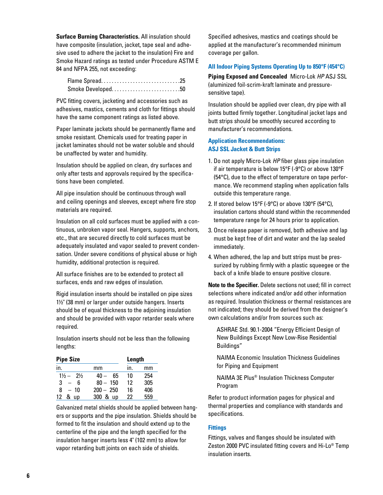**Surface Burning Characteristics.** All insulation should have composite (insulation, jacket, tape seal and adhesive used to adhere the jacket to the insulation) Fire and Smoke Hazard ratings as tested under Procedure ASTM E 84 and NFPA 255, not exceeding:

| Flame Spread25    |  |
|-------------------|--|
| Smoke Developed50 |  |

PVC fitting covers, jacketing and accessories such as adhesives, mastics, cements and cloth for fittings should have the same component ratings as listed above.

Paper laminate jackets should be permanently flame and smoke resistant. Chemicals used for treating paper in jacket laminates should not be water soluble and should be unaffected by water and humidity.

Insulation should be applied on clean, dry surfaces and only after tests and approvals required by the specifications have been completed.

All pipe insulation should be continuous through wall and ceiling openings and sleeves, except where fire stop materials are required.

Insulation on all cold surfaces must be applied with a continuous, unbroken vapor seal. Hangers, supports, anchors, etc., that are secured directly to cold surfaces must be adequately insulated and vapor sealed to prevent condensation. Under severe conditions of physical abuse or high humidity, additional protection is required.

All surface finishes are to be extended to protect all surfaces, ends and raw edges of insulation.

Rigid insulation inserts should be installed on pipe sizes 1½" (38 mm) or larger under outside hangers. Inserts should be of equal thickness to the adjoining insulation and should be provided with vapor retarder seals where required.

Insulation inserts should not be less than the following lengths:

| <b>Pipe Size</b>              | Length       |     |     |
|-------------------------------|--------------|-----|-----|
| in.                           | mm           | ın. | mm  |
| $1\frac{1}{2} - 2\frac{1}{2}$ | $40 -$<br>65 | 10  | 254 |
| 3<br>6                        | $80 - 150$   | 12  | 305 |
| 8<br>$-10$                    | $200 - 250$  | 16  | 406 |
| & up<br>12                    | 300 & up     | 22  | 559 |

Galvanized metal shields should be applied between hangers or supports and the pipe insulation. Shields should be formed to fit the insulation and should extend up to the centerline of the pipe and the length specified for the insulation hanger inserts less 4" (102 mm) to allow for vapor retarding butt joints on each side of shields.

Specified adhesives, mastics and coatings should be applied at the manufacturer's recommended minimum coverage per gallon.

# **All Indoor Piping Systems Operating Up to 850°F (454°C)**

**Piping Exposed and Concealed** Micro-Lok *HP* ASJ SSL (aluminized foil-scrim-kraft laminate and pressuresensitive tape).

Insulation should be applied over clean, dry pipe with all joints butted firmly together. Longitudinal jacket laps and butt strips should be smoothly secured according to manufacturer's recommendations.

# **Application Recommendations: ASJ SSL Jacket & Butt Strips**

- 1. Do not apply Micro-Lok *HP* fiber glass pipe insulation if air temperature is below 15°F (-9°C) or above 130°F (54°C), due to the effect of temperature on tape performance. We recommend stapling when application falls outside this temperature range.
- 2. If stored below 15°F (-9°C) or above 130°F (54°C), insulation cartons should stand within the recommended temperature range for 24 hours prior to application.
- 3. Once release paper is removed, both adhesive and lap must be kept free of dirt and water and the lap sealed immediately.
- 4. When adhered, the lap and butt strips must be pressurized by rubbing firmly with a plastic squeegee or the back of a knife blade to ensure positive closure.

**Note to the Specifier.** Delete sections not used; fill in correct selections where indicated and/or add other information as required. Insulation thickness or thermal resistances are not indicated; they should be derived from the designer's own calculations and/or from sources such as:

ASHRAE Std. 90.1-2004 "Energy Efficient Design of New Buildings Except New Low-Rise Residential Buildings"

NAIMA Economic Insulation Thickness Guidelines for Piping and Equipment

NAIMA 3E Plus® Insulation Thickness Computer Program

Refer to product information pages for physical and thermal properties and compliance with standards and specifications.

#### **Fittings**

Fittings, valves and flanges should be insulated with Zeston 2000 PVC insulated fitting covers and Hi-Lo® Temp insulation inserts.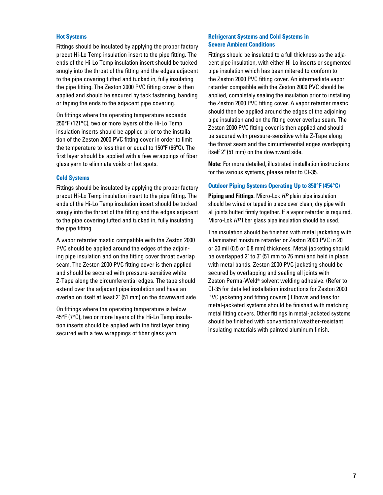#### **Hot Systems**

Fittings should be insulated by applying the proper factory precut Hi-Lo Temp insulation insert to the pipe fitting. The ends of the Hi-Lo Temp insulation insert should be tucked snugly into the throat of the fitting and the edges adjacent to the pipe covering tufted and tucked in, fully insulating the pipe fitting. The Zeston 2000 PVC fitting cover is then applied and should be secured by tack fastening, banding or taping the ends to the adjacent pipe covering.

On fittings where the operating temperature exceeds 250°F (121°C), two or more layers of the Hi-Lo Temp insulation inserts should be applied prior to the installation of the Zeston 2000 PVC fitting cover in order to limit the temperature to less than or equal to 150ºF (66ºC). The first layer should be applied with a few wrappings of fiber glass yarn to eliminate voids or hot spots.

#### **Cold Systems**

Fittings should be insulated by applying the proper factory precut Hi-Lo Temp insulation insert to the pipe fitting. The ends of the Hi-Lo Temp insulation insert should be tucked snugly into the throat of the fitting and the edges adjacent to the pipe covering tufted and tucked in, fully insulating the pipe fitting.

A vapor retarder mastic compatible with the Zeston 2000 PVC should be applied around the edges of the adjoining pipe insulation and on the fitting cover throat overlap seam. The Zeston 2000 PVC fitting cover is then applied and should be secured with pressure-sensitive white Z-Tape along the circumferential edges. The tape should extend over the adjacent pipe insulation and have an overlap on itself at least 2" (51 mm) on the downward side.

On fittings where the operating temperature is below 45°F (7°C), two or more layers of the Hi-Lo Temp insulation inserts should be applied with the first layer being secured with a few wrappings of fiber glass yarn.

## **Refrigerant Systems and Cold Systems in Severe Ambient Conditions**

Fittings should be insulated to a full thickness as the adjacent pipe insulation, with either Hi-Lo inserts or segmented pipe insulation which has been mitered to conform to the Zeston 2000 PVC fitting cover. An intermediate vapor retarder compatible with the Zeston 2000 PVC should be applied, completely sealing the insulation prior to installing the Zeston 2000 PVC fitting cover. A vapor retarder mastic should then be applied around the edges of the adjoining pipe insulation and on the fitting cover overlap seam. The Zeston 2000 PVC fitting cover is then applied and should be secured with pressure-sensitive white Z-Tape along the throat seam and the circumferential edges overlapping itself 2" (51 mm) on the downward side.

**Note:** For more detailed, illustrated installation instructions for the various systems, please refer to CI-35.

## **Outdoor Piping Systems Operating Up to 850°F (454°C)**

**Piping and Fittings.** Micro-Lok *HP* plain pipe insulation should be wired or taped in place over clean, dry pipe with all joints butted firmly together. If a vapor retarder is required, Micro-Lok *HP* fiber glass pipe insulation should be used.

The insulation should be finished with metal jacketing with a laminated moisture retarder or Zeston 2000 PVC in 20 or 30 mil (0.5 or 0.8 mm) thickness. Metal jacketing should be overlapped 2" to 3" (51 mm to 76 mm) and held in place with metal bands. Zeston 2000 PVC jacketing should be secured by overlapping and sealing all joints with Zeston Perma-Weld® solvent welding adhesive. (Refer to CI-35 for detailed installation instructions for Zeston 2000 PVC jacketing and fitting covers.) Elbows and tees for metal-jacketed systems should be finished with matching metal fitting covers. Other fittings in metal-jacketed systems should be finished with conventional weather-resistant insulating materials with painted aluminum finish.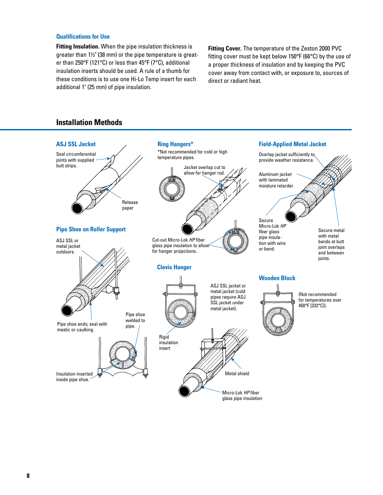#### **Qualifications for Use**

**Fitting Insulation.** When the pipe insulation thickness is greater than 1½" (38 mm) or the pipe temperature is greater than 250°F (121°C) or less than 45°F (7°C), additional insulation inserts should be used. A rule of a thumb for these conditions is to use one Hi-Lo Temp insert for each additional 1" (25 mm) of pipe insulation.

**Fitting Cover.** The temperature of the Zeston 2000 PVC fitting cover must be kept below 150°F (66°C) by the use of a proper thickness of insulation and by keeping the PVC cover away from contact with, or exposure to, sources of direct or radiant heat.

# **Installation Methods**

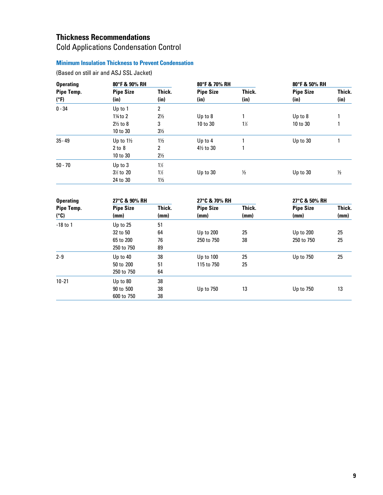# **Thickness Recommendations**

# Cold Applications Condensation Control

# **Minimum Insulation Thickness to Prevent Condensation**

(Based on still air and ASJ SSL Jacket)

| <b>Operating</b>   | 80°F & 90% RH            |                       | 80°F & 70% RH            |                | 80°F & 50% RH            |                |
|--------------------|--------------------------|-----------------------|--------------------------|----------------|--------------------------|----------------|
| Pipe Temp.<br>(°F) | <b>Pipe Size</b><br>(in) | Thick.<br>(in)        | <b>Pipe Size</b><br>(in) | Thick.<br>(in) | <b>Pipe Size</b><br>(in) | Thick.<br>(in) |
| $0 - 34$           | Up to 1                  | 2                     |                          |                |                          |                |
|                    | $1\frac{1}{4}$ to 2      | $2\frac{1}{2}$        | Up to 8                  |                | Up to 8                  |                |
|                    | $2\frac{1}{2}$ to 8      | 3                     | 10 to 30                 | $1\frac{1}{2}$ | 10 to 30                 |                |
|                    | 10 to 30                 | $3\frac{1}{2}$        |                          |                |                          |                |
| $35 - 49$          | Up to $1\frac{1}{2}$     | $1\frac{1}{2}$        | Up to 4                  |                | Up to 30                 |                |
|                    | 2 to 8                   | $\mathbf{2}^{\prime}$ | $4\frac{1}{2}$ to 30     |                |                          |                |
|                    | 10 to 30                 | $2\frac{1}{2}$        |                          |                |                          |                |
| $50 - 70$          | Up to 3                  | $1\frac{1}{2}$        |                          |                |                          |                |
|                    | $3\frac{1}{2}$ to 20     | $1\frac{1}{2}$        | Up to $30$               | $\frac{1}{2}$  | Up to 30                 | $\frac{1}{2}$  |
|                    | 24 to 30                 | $1\frac{1}{2}$        |                          |                |                          |                |

| <b>Operating</b>   |                          | 27°C & 90% RH  |                          | 27°C & 70% RH  | 27°C & 50% RH            |                |
|--------------------|--------------------------|----------------|--------------------------|----------------|--------------------------|----------------|
| Pipe Temp.<br>(°C) | <b>Pipe Size</b><br>(mm) | Thick.<br>(mm) | <b>Pipe Size</b><br>(mm) | Thick.<br>(mm) | <b>Pipe Size</b><br>(mm) | Thick.<br>(mm) |
| $-18$ to 1         | Up to 25                 | 51             |                          |                |                          |                |
|                    | 32 to 50                 | 64             | Up to 200                | 25             | Up to 200                | 25             |
|                    | 65 to 200                | 76             | 250 to 750               | 38             | 250 to 750               | 25             |
|                    | 250 to 750               | 89             |                          |                |                          |                |
| $2 - 9$            | Up to $40$               | 38             | Up to 100                | 25             | Up to 750                | 25             |
|                    | 50 to 200                | 51             | 115 to 750               | 25             |                          |                |
|                    | 250 to 750               | 64             |                          |                |                          |                |
| $10 - 21$          | Up to 80                 | 38             |                          |                |                          |                |
|                    | 90 to 500                | 38             | Up to 750                | 13             | Up to 750                | 13             |
|                    | 600 to 750               | 38             |                          |                |                          |                |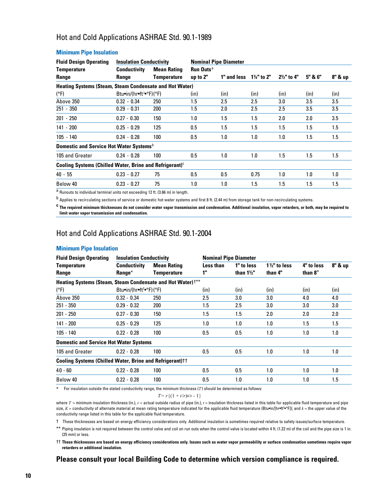# Hot and Cold Applications ASHRAE Std. 90.1-1989

| <b>Conductivity</b> | <b>Mean Rating</b> | <b>Run Outs<sup>a</sup></b>                                                                                                                                                                         |                                                                |                              |                        |         |         |
|---------------------|--------------------|-----------------------------------------------------------------------------------------------------------------------------------------------------------------------------------------------------|----------------------------------------------------------------|------------------------------|------------------------|---------|---------|
| Range               | Temperature        | up to $2"$                                                                                                                                                                                          | 1" and less                                                    | $1\frac{1}{4}$ " to 2"       | $2\frac{1}{2}$ " to 4" | 5" & 6" | 8" & up |
|                     |                    |                                                                                                                                                                                                     |                                                                |                              |                        |         |         |
|                     |                    | (in)                                                                                                                                                                                                | (in)                                                           | (in)                         | (in)                   | (in)    | (in)    |
| $0.32 - 0.34$       | 250                | 1.5                                                                                                                                                                                                 | 2.5                                                            | 2.5                          | $3.0\,$                | 3.5     | 3.5     |
| $0.29 - 0.31$       | 200                | 1.5                                                                                                                                                                                                 | 2.0                                                            | 2.5                          | 2.5                    | 3.5     | 3.5     |
| $0.27 - 0.30$       | 150                | 1.0                                                                                                                                                                                                 | 1.5                                                            | 1.5                          | 2.0                    | 2.0     | 3.5     |
| $0.25 - 0.29$       | 125                | 0.5                                                                                                                                                                                                 | 1.5                                                            | 1.5                          | 1.5                    | 1.5     | 1.5     |
| $0.24 - 0.28$       | 100                | 0.5                                                                                                                                                                                                 | 1.0                                                            | 1.0                          | 1.0                    | 1.5     | 1.5     |
|                     |                    |                                                                                                                                                                                                     |                                                                |                              |                        |         |         |
| $0.24 - 0.28$       | 100                | 0.5                                                                                                                                                                                                 | 1.0                                                            | 1.0                          | 1.5                    | 1.5     | 1.5     |
|                     |                    |                                                                                                                                                                                                     |                                                                |                              |                        |         |         |
| $0.23 - 0.27$       | 75                 | 0.5                                                                                                                                                                                                 | 0.5                                                            | 0.75                         | 1.0                    | 1.0     | 1.0     |
| $0.23 - 0.27$       | 75                 | 1.0                                                                                                                                                                                                 | 1.0                                                            | 1.5                          | 1.5                    | 1.5     | 1.5     |
|                     |                    | <b>Insulation Conductivity</b><br>Btu•in/(hr•ft <sup>2•</sup> °F)(°F)<br>Domestic and Service Hot Water Systems <sup>b</sup><br>Cooling Systems (Chilled Water, Brine and Refrigerant) <sup>c</sup> | <b>Heating Systems (Steam, Steam Condensate and Hot Water)</b> | <b>Nominal Pipe Diameter</b> |                        |         |         |

#### **Minimum Pipe Insulation**

a Runouts to individual terminal units not exceeding 12 ft. (3.66 m) in length.

<sup>b</sup> Applies to recirculating sections of service or domestic hot water systems and first 8 ft. (2.44 m) from storage tank for non-recirculating systems.

**<sup>c</sup> The required minimum thicknesses do not consider water vapor transmission and condensation. Additional insulation, vapor retarders, or both, may be required to limit water vapor transmission and condensation.**

# Hot and Cold Applications ASHRAE Std. 90.1-2004

#### **Minimum Pipe Insulation**

| <b>Fluid Design Operating</b>                                          | <b>Insulation Conductivity</b>      |                    | <b>Nominal Pipe Diameter</b> |                       |                        |            |         |
|------------------------------------------------------------------------|-------------------------------------|--------------------|------------------------------|-----------------------|------------------------|------------|---------|
| <b>Temperature</b>                                                     | <b>Conductivity</b>                 | <b>Mean Rating</b> | Less than                    | 1" to less            | $1\frac{1}{2}$ to less | 4" to less | 8" & up |
| Range                                                                  | Range <sup>*</sup>                  | <b>Temperature</b> | 1"                           | than $1\frac{1}{2}$ " | than 4"                | than 8"    |         |
| Heating Systems (Steam, Steam Condensate and Hot Water) <sup>†**</sup> |                                     |                    |                              |                       |                        |            |         |
| (°F)                                                                   | Btu•in/(hr•ft <sup>2</sup> •°F)(°F) |                    | (in)                         | (in)                  | (in)                   | (in)       | (in)    |
| Above 350                                                              | $0.32 - 0.34$                       | 250                | 2.5                          | 3.0                   | 3.0                    | 4.0        | 4.0     |
| $251 - 350$                                                            | $0.29 - 0.32$                       | 200                | 1.5                          | 2.5                   | 3.0                    | 3.0        | 3.0     |
| $201 - 250$                                                            | $0.27 - 0.30$                       | 150                | 1.5                          | 1.5                   | 2.0                    | 2.0        | 2.0     |
| $141 - 200$                                                            | $0.25 - 0.29$                       | 125                | 1.0                          | 1.0                   | 1.0                    | 1.5        | 1.5     |
| $105 - 140$                                                            | $0.22 - 0.28$                       | 100                | 0.5                          | 0.5                   | 1.0                    | 1.0        | 1.0     |
| <b>Domestic and Service Hot Water Systems</b>                          |                                     |                    |                              |                       |                        |            |         |
| 105 and Greater                                                        | $0.22 - 0.28$                       | 100                | 0.5                          | 0.5                   | 1.0                    | 1.0        | 1.0     |
| <b>Cooling Systems (Chilled Water, Brine and Refrigerant)</b> ††       |                                     |                    |                              |                       |                        |            |         |
| $40 - 60$                                                              | $0.22 - 0.28$                       | 100                | 0.5                          | 0.5                   | 1.0                    | 1.0        | 1.0     |
| Below 40                                                               | $0.22 - 0.28$                       | 100                | 0.5                          | 1.0                   | 1.0                    | 1.0        | 1.5     |

\* For insulation outside the stated conductivity range, the minimum thickness (*T* ) should be determined as follows:

$$
T = r \{ (1 + t/r)^{K/k} - 1 \}
$$

where  $T =$  minimum insulation thickness (in.),  $r =$  actual outside radius of pipe (in.),  $t =$  insulation thickness listed in this table for applicable fluid temperature and pipe size, *K* = conductivity of alternate material at mean rating temperature indicated for the applicable fluid temperature (Btu•in/[hr•ft2 •°F]); and *k* = the upper value of the conductivity range listed in this table for the applicable fluid temperature.

† These thicknesses are based on energy efficiency considerations only. Additional insulation is sometimes required relative to safety issues/surface temperature.

\*\* Piping insulation is not required between the control valve and coil on run outs when the control valve is located within 4 ft. (1.22 m) of the coil and the pipe size is 1 in. (25 mm) or less.

†† **These thicknesses are based on energy efficiency considerations only. Issues such as water vapor permeability or surface condensation sometimes require vapor retarders or additional insulation.**

# **Please consult your local Building Code to determine which version compliance is required.**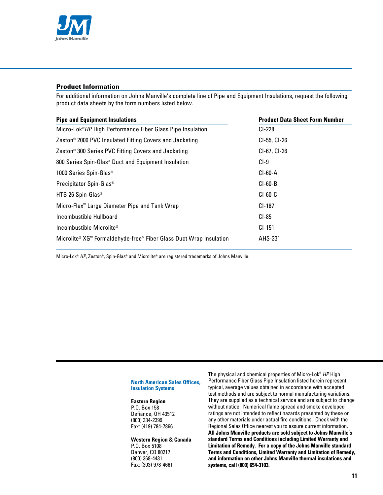

## **Product Information**

For additional information on Johns Manville's complete line of Pipe and Equipment Insulations, request the following product data sheets by the form numbers listed below.

| <b>Pipe and Equipment Insulations</b>                                  | <b>Product Data Sheet Form Number</b> |
|------------------------------------------------------------------------|---------------------------------------|
| Micro-Lok <sup>®</sup> HP High Performance Fiber Glass Pipe Insulation | CI-228                                |
| Zeston <sup>®</sup> 2000 PVC Insulated Fitting Covers and Jacketing    | CI-55, CI-26                          |
| Zeston <sup>®</sup> 300 Series PVC Fitting Covers and Jacketing        | CI-67, CI-26                          |
| 800 Series Spin-Glas <sup>®</sup> Duct and Equipment Insulation        | CI-9                                  |
| 1000 Series Spin-Glas <sup>®</sup>                                     | CI-60-A                               |
| Precipitator Spin-Glas <sup>®</sup>                                    | $CI-60-B$                             |
| HTB 26 Spin-Glas <sup>®</sup>                                          | $CI-60-C$                             |
| Micro-Flex <sup>™</sup> Large Diameter Pipe and Tank Wrap              | CI-187                                |
| Incombustible Hullboard                                                | CI-85                                 |
| Incombustible Microlite®                                               | $CI-151$                              |
| Microlite® XG™ Formaldehyde-free™ Fiber Glass Duct Wrap Insulation     | AHS-331                               |

Micro-Lok® *HP*, Zeston®, Spin-Glas® and Microlite® are registered trademarks of Johns Manville.

#### **North American Sales Offices, Insulation Systems**

#### **Eastern Region**

P.O. Box 158 Defiance, OH 43512 (800) 334-2399 Fax: (419) 784-7866

#### **Western Region & Canada**

P.O. Box 5108 Denver, CO 80217 (800) 368-4431 Fax: (303) 978-4661

The physical and chemical properties of Micro-Lok® *HP* High Performance Fiber Glass Pipe Insulation listed herein represent typical, average values obtained in accordance with accepted test methods and are subject to normal manufacturing variations. They are supplied as a technical service and are subject to change without notice. Numerical flame spread and smoke developed ratings are not intended to reflect hazards presented by these or any other materials under actual fire conditions. Check with the Regional Sales Office nearest you to assure current information. **All Johns Manville products are sold subject to Johns Manville's standard Terms and Conditions including Limited Warranty and Limitation of Remedy. For a copy of the Johns Manville standard Terms and Conditions, Limited Warranty and Limitation of Remedy, and information on other Johns Manville thermal insulations and systems, call (800) 654-3103.**